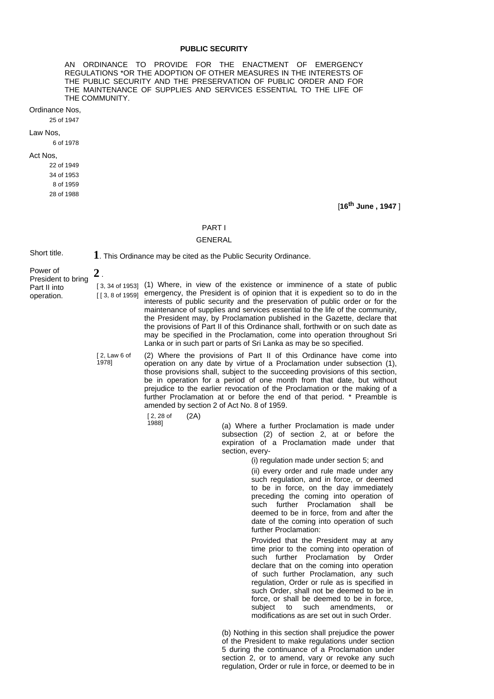## **PUBLIC SECURITY**

AN ORDINANCE TO PROVIDE FOR THE ENACTMENT OF EMERGENCY REGULATIONS \*OR THE ADOPTION OF OTHER MEASURES IN THE INTERESTS OF THE PUBLIC SECURITY AND THE PRESERVATION OF PUBLIC ORDER AND FOR THE MAINTENANCE OF SUPPLIES AND SERVICES ESSENTIAL TO THE LIFE OF THE COMMUNITY.

Ordinance Nos,

25 of 1947

Law Nos,

6 of 1978

### Act Nos,

22 of 1949 34 of 1953 8 of 1959 28 of 1988

[**16th June , 1947** ]

### PART I

# GENERAL

Short title. **1**. This Ordinance may be cited as the Public Security Ordinance.

Power of President to bring Part II into operation. **2** .

[3, 34 of 1953] (1) Where, in view of the existence or imminence of a state of public [ [ 3, 8 of 1959] emergency, the President is of opinion that it is expedient so to do in the interests of public security and the preservation of public order or for the maintenance of supplies and services essential to the life of the community, the President may, by Proclamation published in the Gazette, declare that the provisions of Part II of this Ordinance shall, forthwith or on such date as may be specified in the Proclamation, come into operation throughout Sri Lanka or in such part or parts of Sri Lanka as may be so specified.

[ 2, Law 6 of 1978]

(2) Where the provisions of Part II of this Ordinance have come into operation on any date by virtue of a Proclamation under subsection (1), those provisions shall, subject to the succeeding provisions of this section, be in operation for a period of one month from that date, but without prejudice to the earlier revocation of the Proclamation or the making of a further Proclamation at or before the end of that period. \* Preamble is amended by section 2 of Act No. 8 of 1959.

[ 2, 28 of 1988] (2A)

(a) Where a further Proclamation is made under subsection (2) of section 2, at or before the expiration of a Proclamation made under that section, every-

(i) regulation made under section 5; and

(ii) every order and rule made under any such regulation, and in force, or deemed to be in force, on the day immediately preceding the coming into operation of such further Proclamation shall be deemed to be in force, from and after the date of the coming into operation of such further Proclamation:

Provided that the President may at any time prior to the coming into operation of such further Proclamation by Order declare that on the coming into operation of such further Proclamation, any such regulation, Order or rule as is specified in such Order, shall not be deemed to be in force, or shall be deemed to be in force, subject to such amendments, or modifications as are set out in such Order.

(b) Nothing in this section shall prejudice the power of the President to make regulations under section 5 during the continuance of a Proclamation under section 2, or to amend, vary or revoke any such regulation, Order or rule in force, or deemed to be in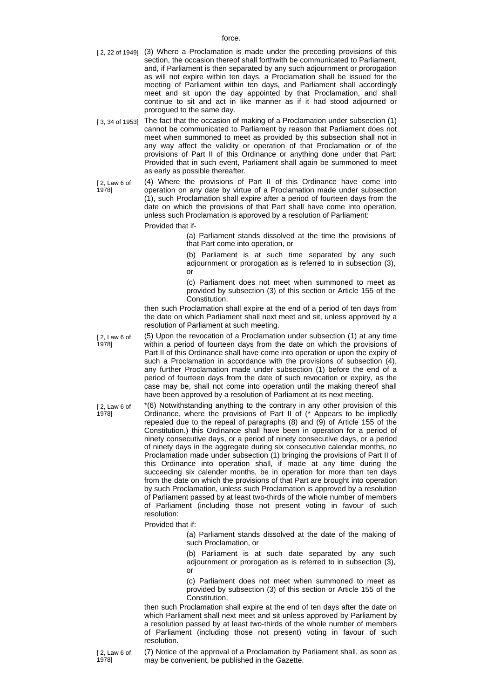force.

- [ 2, 22 of 1949] (3) Where a Proclamation is made under the preceding provisions of this section, the occasion thereof shall forthwith be communicated to Parliament, and, if Parliament is then separated by any such adjournment or prorogation as will not expire within ten days, a Proclamation shall be issued for the meeting of Parliament within ten days, and Parliament shall accordingly meet and sit upon the day appointed by that Proclamation, and shall continue to sit and act in like manner as if it had stood adjourned or prorogued to the same day.
- [ 3, 34 of 1953] The fact that the occasion of making of a Proclamation under subsection (1) cannot be communicated to Parliament by reason that Parliament does not meet when summoned to meet as provided by this subsection shall not in any way affect the validity or operation of that Proclamation or of the provisions of Part II of this Ordinance or anything done under that Part: Provided that in such event, Parliament shall again be summoned to meet as early as possible thereafter.

[ 2, Law 6 of (4) Where the provisions of Part II of this Ordinance have come into operation on any date by virtue of a Proclamation made under subsection (1), such Proclamation shall expire after a period of fourteen days from the date on which the provisions of that Part shall have come into operation, unless such Proclamation is approved by a resolution of Parliament:

Provided that if-

(a) Parliament stands dissolved at the time the provisions of that Part come into operation, or

(b) Parliament is at such time separated by any such adjournment or prorogation as is referred to in subsection (3), or

(c) Parliament does not meet when summoned to meet as provided by subsection (3) of this section or Article 155 of the Constitution,

then such Proclamation shall expire at the end of a period of ten days from the date on which Parliament shall next meet and sit, unless approved by a resolution of Parliament at such meeting.

[ 2, Law 6 of 1978]

[ 2, Law 6 of 1978]

1978]

(5) Upon the revocation of a Proclamation under subsection (1) at any time within a period of fourteen days from the date on which the provisions of Part II of this Ordinance shall have come into operation or upon the expiry of such a Proclamation in accordance with the provisions of subsection (4), any further Proclamation made under subsection (1) before the end of a period of fourteen days from the date of such revocation or expiry, as the case may be, shall not come into operation until the making thereof shall have been approved by a resolution of Parliament at its next meeting.

\*(6) Notwithstanding anything to the contrary in any other provision of this Ordinance, where the provisions of Part II of (\* Appears to be impliedly repealed due to the repeal of paragraphs (8) and (9) of Article 155 of the Constitution.) this Ordinance shall have been in operation for a period of ninety consecutive days, or a period of ninety consecutive days, or a period of ninety days in the aggregate during six consecutive calendar months, no Proclamation made under subsection (1) bringing the provisions of Part II of this Ordinance into operation shall, if made at any time during the succeeding six calender months, be in operation for more than ten days from the date on which the provisions of that Part are brought into operation by such Proclamation, unless such Proclamation is approved by a resolution of Parliament passed by at least two-thirds of the whole number of members of Parliament (including those not present voting in favour of such resolution:

Provided that if:

(a) Parliament stands dissolved at the date of the making of such Proclamation, or

(b) Parliament is at such date separated by any such adjournment or prorogation as is referred to in subsection (3), or

(c) Parliament does not meet when summoned to meet as provided by subsection (3) of this section or Article 155 of the Constitution,

then such Proclamation shall expire at the end of ten days after the date on which Parliament shall next meet and sit unless approved by Parliament by a resolution passed by at least two-thirds of the whole number of members of Parliament (including those not present) voting in favour of such resolution.

(7) Notice of the approval of a Proclamation by Parliament shall, as soon as may be convenient, be published in the Gazette.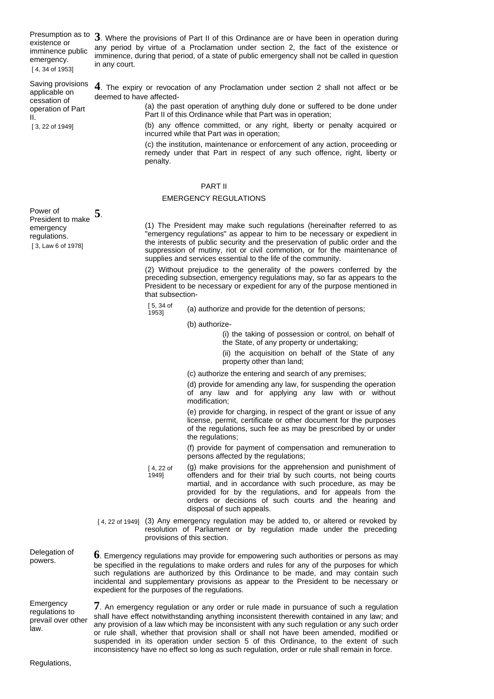Presumption as to imminence public emergency. [ 4, 34 of 1953]

operation of Part

[ 3, 22 of 1949]

II.

Presumption as to 3. Where the provisions of Part II of this Ordinance are or have been in operation during<br>existence or any pariod by virtue of a Proclamation under section 3, the fect of the evidence or any period by virtue of a Proclamation under section 2, the fact of the existence or imminence, during that period, of a state of public emergency shall not be called in question in any court.

Saving provisions applicable on cessation of **4**. The expiry or revocation of any Proclamation under section 2 shall not affect or be deemed to have affected-

(a) the past operation of anything duly done or suffered to be done under Part II of this Ordinance while that Part was in operation;

(b) any offence committed, or any right, liberty or penalty acquired or incurred while that Part was in operation;

(c) the institution, maintenance or enforcement of any action, proceeding or remedy under that Part in respect of any such offence, right, liberty or penalty.

# PART II

## EMERGENCY REGULATIONS

Power of President to make emergency regulations. [ 3, Law 6 of 1978] **5**.

(1) The President may make such regulations (hereinafter referred to as "emergency regulations" as appear to him to be necessary or expedient in the interests of public security and the preservation of public order and the suppression of mutiny, riot or civil commotion, or for the maintenance of supplies and services essential to the life of the community.

(2) Without prejudice to the generality of the powers conferred by the preceding subsection, emergency regulations may, so far as appears to the President to be necessary or expedient for any of the purpose mentioned in that subsection-

[ 5, 34 of<br>1953]

expedient for the purposes of the regulations.

(a) authorize and provide for the detention of persons;

(b) authorize-

(i) the taking of possession or control, on behalf of the State, of any property or undertaking;

(ii) the acquisition on behalf of the State of any property other than land;

(c) authorize the entering and search of any premises;

(d) provide for amending any law, for suspending the operation of any law and for applying any law with or without modification;

(e) provide for charging, in respect of the grant or issue of any license, permit, certificate or other document for the purposes of the regulations, such fee as may be prescribed by or under the regulations;

(f) provide for payment of compensation and remuneration to persons affected by the regulations;

- [ 4, 22 of 1949] (g) make provisions for the apprehension and punishment of offenders and for their trial by such courts, not being courts martial, and in accordance with such procedure, as may be provided for by the regulations, and for appeals from the orders or decisions of such courts and the hearing and disposal of such appeals.
- [4, 22 of 1949] (3) Any emergency regulation may be added to, or altered or revoked by resolution of Parliament or by regulation made under the preceding provisions of this section.

**6**. Emergency regulations may provide for empowering such authorities or persons as may be specified in the regulations to make orders and rules for any of the purposes for which such regulations are authorized by this Ordinance to be made, and may contain such incidental and supplementary provisions as appear to the President to be necessary or

Delegation of powers.

Emergency regulations to prevail over other law.

**7**. An emergency regulation or any order or rule made in pursuance of such a regulation shall have effect notwithstanding anything inconsistent therewith contained in any law; and any provision of a law which may be inconsistent with any such regulation or any such order or rule shall, whether that provision shall or shall not have been amended, modified or suspended in its operation under section 5 of this Ordinance, to the extent of such inconsistency have no effect so long as such regulation, order or rule shall remain in force.

Regulations,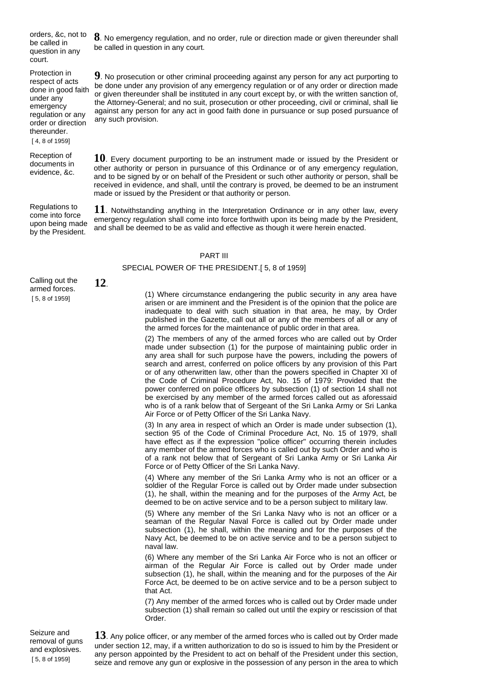orders, &c, not to be called in question in any court.

Protection in respect of acts done in good faith under any emergency regulation or any order or direction thereunder. [ 4, 8 of 1959]

Reception of documents in evidence, &c.

Regulations to come into force upon being made by the President.

**8**. No emergency regulation, and no order, rule or direction made or given thereunder shall be called in question in any court.

**9**. No prosecution or other criminal proceeding against any person for any act purporting to be done under any provision of any emergency regulation or of any order or direction made or given thereunder shall be instituted in any court except by, or with the written sanction of, the Attorney-General; and no suit, prosecution or other proceeding, civil or criminal, shall lie against any person for any act in good faith done in pursuance or sup posed pursuance of any such provision.

**10**. Every document purporting to be an instrument made or issued by the President or other authority or person in pursuance of this Ordinance or of any emergency regulation, and to be signed by or on behalf of the President or such other authority or person, shall be received in evidence, and shall, until the contrary is proved, be deemed to be an instrument made or issued by the President or that authority or person.

**11**. Notwithstanding anything in the Interpretation Ordinance or in any other law, every emergency regulation shall come into force forthwith upon its being made by the President, and shall be deemed to be as valid and effective as though it were herein enacted.

### PART III

## SPECIAL POWER OF THE PRESIDENT.[ 5, 8 of 1959]

Calling out the armed forces. [ 5, 8 of 1959]

**12**.

(1) Where circumstance endangering the public security in any area have arisen or are imminent and the President is of the opinion that the police are inadequate to deal with such situation in that area, he may, by Order published in the Gazette, call out all or any of the members of all or any of the armed forces for the maintenance of public order in that area.

(2) The members of any of the armed forces who are called out by Order made under subsection (1) for the purpose of maintaining public order in any area shall for such purpose have the powers, including the powers of search and arrest, conferred on police officers by any provision of this Part or of any otherwritten law, other than the powers specified in Chapter XI of the Code of Criminal Procedure Act, No. 15 of 1979: Provided that the power conferred on police officers by subsection (1) of section 14 shall not be exercised by any member of the armed forces called out as aforessaid who is of a rank below that of Sergeant of the Sri Lanka Army or Sri Lanka Air Force or of Petty Officer of the Sri Lanka Navy.

(3) In any area in respect of which an Order is made under subsection (1), section 95 of the Code of Criminal Procedure Act, No. 15 of 1979, shall have effect as if the expression "police officer" occurring therein includes any member of the armed forces who is called out by such Order and who is of a rank not below that of Sergeant of Sri Lanka Army or Sri Lanka Air Force or of Petty Officer of the Sri Lanka Navy.

(4) Where any member of the Sri Lanka Army who is not an officer or a soldier of the Regular Force is called out by Order made under subsection (1), he shall, within the meaning and for the purposes of the Army Act, be deemed to be on active service and to be a person subject to military law.

(5) Where any member of the Sri Lanka Navy who is not an officer or a seaman of the Regular Naval Force is called out by Order made under subsection (1), he shall, within the meaning and for the purposes of the Navy Act, be deemed to be on active service and to be a person subject to naval law.

(6) Where any member of the Sri Lanka Air Force who is not an officer or airman of the Regular Air Force is called out by Order made under subsection (1), he shall, within the meaning and for the purposes of the Air Force Act, be deemed to be on active service and to be a person subject to that Act.

(7) Any member of the armed forces who is called out by Order made under subsection (1) shall remain so called out until the expiry or rescission of that Order.

Seizure and removal of guns and explosives. [ 5, 8 of 1959]

**13**. Any police officer, or any member of the armed forces who is called out by Order made under section 12, may, if a written authorization to do so is issued to him by the President or any person appointed by the President to act on behalf of the President under this section, seize and remove any gun or explosive in the possession of any person in the area to which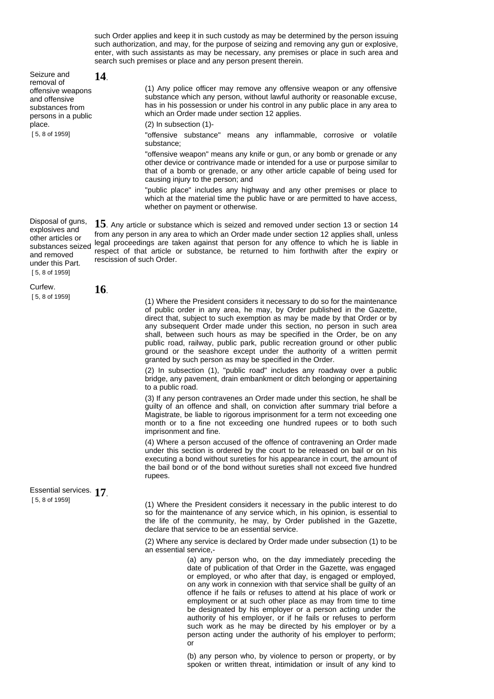such Order applies and keep it in such custody as may be determined by the person issuing such authorization, and may, for the purpose of seizing and removing any gun or explosive, enter, with such assistants as may be necessary, any premises or place in such area and search such premises or place and any person present therein.

|  | Seizure and<br>removal of                                                                                                          | 14.                       |                                                                                                                                                                                                                                                                                                                                                                                                                                                                                                                                                                                                                                                                                                                                                                                                                                                                                                                                                                                                                                                                                                                                                                                                                                                                                                                                                                                                                                                                        |
|--|------------------------------------------------------------------------------------------------------------------------------------|---------------------------|------------------------------------------------------------------------------------------------------------------------------------------------------------------------------------------------------------------------------------------------------------------------------------------------------------------------------------------------------------------------------------------------------------------------------------------------------------------------------------------------------------------------------------------------------------------------------------------------------------------------------------------------------------------------------------------------------------------------------------------------------------------------------------------------------------------------------------------------------------------------------------------------------------------------------------------------------------------------------------------------------------------------------------------------------------------------------------------------------------------------------------------------------------------------------------------------------------------------------------------------------------------------------------------------------------------------------------------------------------------------------------------------------------------------------------------------------------------------|
|  | offensive weapons<br>and offensive<br>substances from<br>persons in a public<br>place.<br>$[5, 8$ of 1959]                         |                           | (1) Any police officer may remove any offensive weapon or any offensive<br>substance which any person, without lawful authority or reasonable excuse,<br>has in his possession or under his control in any public place in any area to<br>which an Order made under section 12 applies.                                                                                                                                                                                                                                                                                                                                                                                                                                                                                                                                                                                                                                                                                                                                                                                                                                                                                                                                                                                                                                                                                                                                                                                |
|  |                                                                                                                                    |                           | (2) In subsection (1)-                                                                                                                                                                                                                                                                                                                                                                                                                                                                                                                                                                                                                                                                                                                                                                                                                                                                                                                                                                                                                                                                                                                                                                                                                                                                                                                                                                                                                                                 |
|  |                                                                                                                                    |                           | "offensive substance" means any inflammable, corrosive or volatile<br>substance;                                                                                                                                                                                                                                                                                                                                                                                                                                                                                                                                                                                                                                                                                                                                                                                                                                                                                                                                                                                                                                                                                                                                                                                                                                                                                                                                                                                       |
|  |                                                                                                                                    |                           | "offensive weapon" means any knife or gun, or any bomb or grenade or any<br>other device or contrivance made or intended for a use or purpose similar to<br>that of a bomb or grenade, or any other article capable of being used for<br>causing injury to the person; and                                                                                                                                                                                                                                                                                                                                                                                                                                                                                                                                                                                                                                                                                                                                                                                                                                                                                                                                                                                                                                                                                                                                                                                             |
|  |                                                                                                                                    |                           | "public place" includes any highway and any other premises or place to<br>which at the material time the public have or are permitted to have access,<br>whether on payment or otherwise.                                                                                                                                                                                                                                                                                                                                                                                                                                                                                                                                                                                                                                                                                                                                                                                                                                                                                                                                                                                                                                                                                                                                                                                                                                                                              |
|  | Disposal of guns,<br>explosives and<br>other articles or<br>substances seized<br>and removed<br>under this Part.<br>[5, 8 of 1959] | rescission of such Order. | 15. Any article or substance which is seized and removed under section 13 or section 14<br>from any person in any area to which an Order made under section 12 applies shall, unless<br>legal proceedings are taken against that person for any offence to which he is liable in<br>respect of that article or substance, be returned to him forthwith after the expiry or                                                                                                                                                                                                                                                                                                                                                                                                                                                                                                                                                                                                                                                                                                                                                                                                                                                                                                                                                                                                                                                                                             |
|  | Curfew.                                                                                                                            | <b>16</b> .               |                                                                                                                                                                                                                                                                                                                                                                                                                                                                                                                                                                                                                                                                                                                                                                                                                                                                                                                                                                                                                                                                                                                                                                                                                                                                                                                                                                                                                                                                        |
|  | $[5, 8$ of 1959]                                                                                                                   |                           | (1) Where the President considers it necessary to do so for the maintenance<br>of public order in any area, he may, by Order published in the Gazette,<br>direct that, subject to such exemption as may be made by that Order or by<br>any subsequent Order made under this section, no person in such area<br>shall, between such hours as may be specified in the Order, be on any<br>public road, railway, public park, public recreation ground or other public<br>ground or the seashore except under the authority of a written permit<br>granted by such person as may be specified in the Order.<br>(2) In subsection (1), "public road" includes any roadway over a public<br>bridge, any pavement, drain embankment or ditch belonging or appertaining<br>to a public road.<br>(3) If any person contravenes an Order made under this section, he shall be<br>guilty of an offence and shall, on conviction after summary trial before a<br>Magistrate, be liable to rigorous imprisonment for a term not exceeding one<br>month or to a fine not exceeding one hundred rupees or to both such<br>imprisonment and fine.<br>(4) Where a person accused of the offence of contravening an Order made<br>under this section is ordered by the court to be released on bail or on his<br>executing a bond without sureties for his appearance in court, the amount of<br>the bail bond or of the bond without sureties shall not exceed five hundred<br>rupees. |
|  | Essential services. 17                                                                                                             |                           |                                                                                                                                                                                                                                                                                                                                                                                                                                                                                                                                                                                                                                                                                                                                                                                                                                                                                                                                                                                                                                                                                                                                                                                                                                                                                                                                                                                                                                                                        |
|  | $[5, 8$ of 1959]                                                                                                                   |                           | (1) Where the President considers it necessary in the public interest to do                                                                                                                                                                                                                                                                                                                                                                                                                                                                                                                                                                                                                                                                                                                                                                                                                                                                                                                                                                                                                                                                                                                                                                                                                                                                                                                                                                                            |
|  |                                                                                                                                    |                           | so for the maintenance of any service which, in his opinion, is essential to<br>the life of the community, he may, by Order published in the Gazette,<br>declare that service to be an essential service.                                                                                                                                                                                                                                                                                                                                                                                                                                                                                                                                                                                                                                                                                                                                                                                                                                                                                                                                                                                                                                                                                                                                                                                                                                                              |
|  |                                                                                                                                    |                           | (2) Where any service is declared by Order made under subsection (1) to be<br>an essential service,-                                                                                                                                                                                                                                                                                                                                                                                                                                                                                                                                                                                                                                                                                                                                                                                                                                                                                                                                                                                                                                                                                                                                                                                                                                                                                                                                                                   |
|  |                                                                                                                                    |                           | (a) any person who, on the day immediately preceding the<br>date of publication of that Order in the Gazette, was engaged<br>or employed, or who after that day, is engaged or employed,<br>on any work in connexion with that service shall be guilty of an<br>offence if he fails or refuses to attend at his place of work or<br>employment or at such other place as may from time to time<br>be designated by his employer or a person acting under the<br>authority of his employer, or if he fails or refuses to perform                                                                                                                                                                                                                                                                                                                                                                                                                                                                                                                                                                                                                                                                                                                                                                                                                                                                                                                                        |

or

(b) any person who, by violence to person or property, or by spoken or written threat, intimidation or insult of any kind to

such work as he may be directed by his employer or by a person acting under the authority of his employer to perform;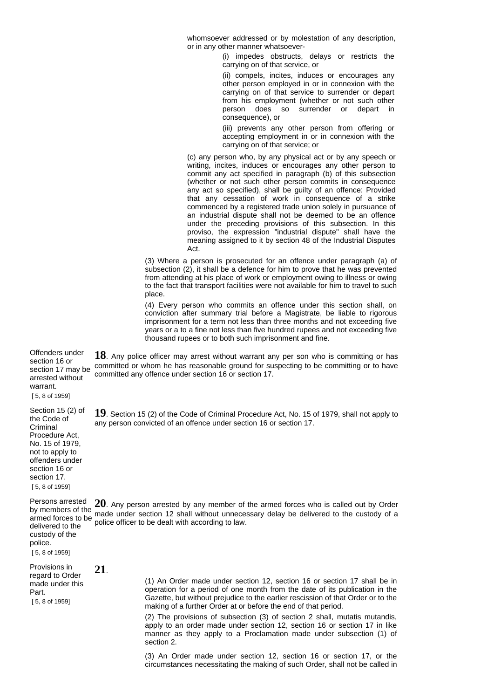whomsoever addressed or by molestation of any description, or in any other manner whatsoever-

> (i) impedes obstructs, delays or restricts the carrying on of that service, or

(ii) compels, incites, induces or encourages any other person employed in or in connexion with the carrying on of that service to surrender or depart from his employment (whether or not such other person does so surrender or depart in consequence), or

(iii) prevents any other person from offering or accepting employment in or in connexion with the carrying on of that service; or

(c) any person who, by any physical act or by any speech or writing, incites, induces or encourages any other person to commit any act specified in paragraph (b) of this subsection (whether or not such other person commits in consequence any act so specified), shall be guilty of an offence: Provided that any cessation of work in consequence of a strike commenced by a registered trade union solely in pursuance of an industrial dispute shall not be deemed to be an offence under the preceding provisions of this subsection. In this proviso, the expression "industrial dispute" shall have the meaning assigned to it by section 48 of the Industrial Disputes Act.

(3) Where a person is prosecuted for an offence under paragraph (a) of subsection (2), it shall be a defence for him to prove that he was prevented from attending at his place of work or employment owing to illness or owing to the fact that transport facilities were not available for him to travel to such place.

(4) Every person who commits an offence under this section shall, on conviction after summary trial before a Magistrate, be liable to rigorous imprisonment for a term not less than three months and not exceeding five years or a to a fine not less than five hundred rupees and not exceeding five thousand rupees or to both such imprisonment and fine.

Offenders under section 16 or section 17 may be arrested without **18**. Any police officer may arrest without warrant any per son who is committing or has committed or whom he has reasonable ground for suspecting to be committing or to have committed any offence under section 16 or section 17.

[ 5, 8 of 1959]

warrant.

Section 15 (2) of the Code of Criminal Procedure Act, No. 15 of 1979, not to apply to offenders under section 16 or section 17. [ 5, 8 of 1959]

delivered to the custody of the police. [ 5, 8 of 1959]

**19**. Section 15 (2) of the Code of Criminal Procedure Act, No. 15 of 1979, shall not apply to any person convicted of an offence under section 16 or section 17.

Persons arrested 20. Any person arrested by any member of the armed forces who is called out by Order by members of the by members of the made under section 12 shall without unnecessary delay be delivered to the custody of a<br>armed forces to be police officer to be don't with asserging to low. police officer to be dealt with according to law.

Provisions in regard to Order made under this Part. **21**.

[ 5, 8 of 1959]

(1) An Order made under section 12, section 16 or section 17 shall be in operation for a period of one month from the date of its publication in the Gazette, but without prejudice to the earlier rescission of that Order or to the making of a further Order at or before the end of that period.

(2) The provisions of subsection (3) of section 2 shall, mutatis mutandis, apply to an order made under section 12, section 16 or section 17 in like manner as they apply to a Proclamation made under subsection (1) of section 2.

(3) An Order made under section 12, section 16 or section 17, or the circumstances necessitating the making of such Order, shall not be called in